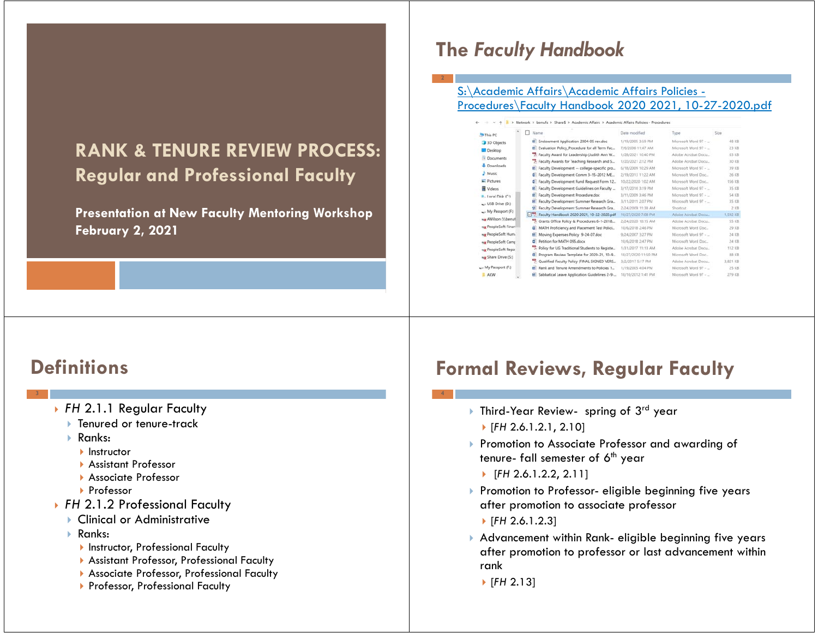## **RANK & TENURE REVIEW PROCESS:Regular and Professional Faculty**

**Presentation at New Faculty Mentoring Workshop February 2, 2021**

## **The** *Faculty Handbook*

#### S:\Academic Affairs\Academic Affairs Policies - Procedures\Faculty Handbook 2020 2021, 10-27-2020.pdf

|                   |    | > Network > benufs > Share\$ > Academic Affairs > Academic Affairs Policies - Procedures |                     |                      |          |
|-------------------|----|------------------------------------------------------------------------------------------|---------------------|----------------------|----------|
| his PC            | □  | Name                                                                                     | Date modified       | Type                 | Size     |
| <b>3D Objects</b> |    | E Endowment Application 2004-05 rev.doc                                                  | 1/19/2005 3:59 PM   | Microsoft Word 97 -  | 48 KB    |
| Desktop           |    | E Evaluation Policy Procedure for all Term Fac                                           | 7/6/2006 11:47 AM   | Microsoft Word 97 -  | 23 KB    |
| <b>Documents</b>  |    | Faculty Award for Leadership (Judith Ann W.,                                             | 1/28/2021 10:40 PM  | Adobe Acrobat Docu   | 63 KB    |
|                   |    | Faculty Awards for Teaching Research and S.                                              | 1/20/2021 2:12 PM   | Adobe Acrobat Docu   | 30 KB    |
| Downloads         |    | Faculty Development -- college-specific pro                                              | 6/18/2009 10:29 AM  | Microsoft Word 97 -  | 39 KB    |
| <b>Music</b>      |    | Faculty Development Comm 3-15-2012 ME.                                                   | 2/19/2013 11:22 AM  | Microsoft Word Doc   | 26 KB    |
| <b>Pictures</b>   | ø  | Faculty Development Fund Request Form 12.                                                | 10/22/2020 1:02 AM  | Microsoft Word Doc., | 156 KB   |
| Videos            |    | Faculty Development Guidelines on Faculty                                                | 3/17/2010 3:19 PM   | Microsoft Word 97 -  | 35 KB    |
| Local Disk (C:)   | R. | Faculty Development Procedure.doc                                                        | 3/11/2009 3:46 PM   | Microsoft Word 97 -  | 54 KB    |
| USB Drive (D:)    |    | Faculty Development Summer Research Gra                                                  | 3/11/2011 2:07 PM   | Microsoft Word 97 -  | 35 KB    |
| My Passport (F:)  |    | 51 Faculty Development Summer Research Gra                                               | 2/24/2009 11:38 AM  | Shortcut             | 之义数      |
|                   |    | Faculty Handbook 2020 2021, 10-22-2020.pdf                                               | 10/27/2020 7:08 PM  | Adobe Acrobat Docu:  | 1.592 KB |
| AWilson (\\benut) |    | Grants Office Policy & Procedures 6-1-2018                                               | 2/24/2020 10:15 AM  | Adobe Acrobat Docu-  | 55 KB    |
| PeopleSoft Finan  | ۰  | MATH Proficiency and Placement Test Polici                                               | 10/6/2018 2:46 PM   | Microsoft Word Doc   | 29 KB    |
| PeopleSoft Hum.   | R. | Moving Expenses Policy 9-24-07.doc                                                       | 9/24/2007 3:27 PM   | Microsoft Word 97 -  | 24 KB    |
| PeopleSoft Camp   | G) | Petition for MATH 095 docs                                                               | 10/6/2018 2:47 PM   | Microsoft Word Doc.  | 24 KB    |
| PeopleSoft Repo   |    | Policy for UG Traditional Students to Registe                                            | 1/31/2017 11:13 AM  | Adobe Acrobat Docu   | 112 KB   |
| Share Drive (S:)  |    | Program Review Template for 2020-21, 10-9.                                               | 10/27/2020 11:50 PM | Microsoft Word Doc   | 88 KB    |
|                   |    | " Qualified Faculty Policy (FINAL SIGNED VERS                                            | 3/2/2017 5:17 PM    | Adobe Acrobat Docu-  | 3.821 KB |
| Av Passport (F:)  |    | Rank and Tenure Amendments to Policies 1                                                 | 1/19/2005 4:04 PM   | Microsoft Word 97 -  | 25 KB    |
| <b>AKW</b>        |    | Sabbatical Leave Application Guidelines 2-9-                                             | 10/10/2012 1:41 PM  | Microsoft Word 97 -  | 279 KB   |

# **Definitions**

- *FH* 2.1.1 Regular Faculty
	- Þ Tenured or tenure-track
	- ▶ Ranks:
		- **Instructor**
		- Assistant Professor
		- Associate Professor
		- ▶ Professor
- *FH* 2.1.2 Professional Faculty
	- Clinical or Administrative
	- $\blacktriangleright$  Ranks:
		- **Instructor, Professional Faculty**
		- Assistant Professor, Professional Faculty
		- Associate Professor, Professional Faculty
		- ▶ Professor, Professional Faculty

# **Formal Reviews, Regular Faculty**

- Third-Year Review- spring of 3rd year
	- [*FH* 2.6.1.2.1, 2.10]
- Promotion to Associate Professor and awarding of tenure- fall semester of  $6<sup>th</sup>$  year
	- [*FH* 2.6.1.2.2, 2.11]
- Promotion to Professor- eligible beginning five years after promotion to associate professor
- [*FH* 2.6.1.2.3]
- Advancement within Rank- eligible beginning five years after promotion to professor or last advancement within rank
	- [*FH* 2.13]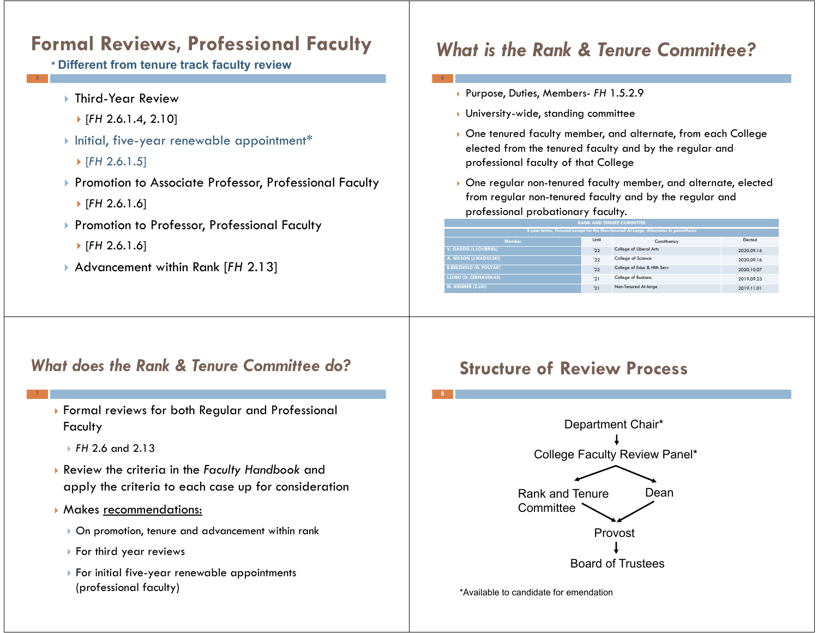## **Formal Reviews, Professional Faculty**

- **\* Different from tenure track faculty review**
	- Third-Year Review
	- [*FH* 2.6.1.4, 2.10]
	- Initial, five-year renewable appointment\*
		- [*FH* 2.6.1.5]
	- ▶ Promotion to Associate Professor, Professional Faculty
		- [*FH* 2.6.1.6]
	- ▶ Promotion to Professor, Professional Faculty
		- [*FH* 2.6.1.6]
	- Advancement within Rank [*FH* 2.13]

## *What is the Rank & Tenure Committee?*

- Purpose, Duties, Members- *FH* 1.5.2.9
- $\blacktriangleright$  University-wide, standing committee
- One tenured faculty member, and alternate, from each College elected from the tenured faculty and by the regular and professional faculty of that College
- One regular non-tenured faculty member, and alternate, elected from regular non-tenured faculty and by the regular and professional probationary faculty.

| <b>RANK AND TENURE COMMITTEE</b>                                                     |       |                             |            |  |  |  |  |  |  |
|--------------------------------------------------------------------------------------|-------|-----------------------------|------------|--|--|--|--|--|--|
| 2-year terms, Tenured except for the Non-tenured At-Large, Alternates in parenthesis |       |                             |            |  |  |  |  |  |  |
| <b>Member</b>                                                                        | Until | Constituency                | Elected    |  |  |  |  |  |  |
| V. GADDIS (L.LOUBRIEL)                                                               | '22   | College of Liberal Arts     | 2020.09.16 |  |  |  |  |  |  |
| A. WILSON (J.NADOLSKI)                                                               | 122   | College of Science          | 2020.09.16 |  |  |  |  |  |  |
| <b>B.BEEZHOLD (G. POLYAK)</b>                                                        | '22   | College of Educ & Hith Serv | 2020.10.07 |  |  |  |  |  |  |
| <b>I.LOBO (D. CERNAUSKAS)</b>                                                        | '21   | College of Business         | 2019.09.23 |  |  |  |  |  |  |
| M. WEISNER (Z.LIU)                                                                   | '21   | Non-Tenured At-large        | 2019.11.01 |  |  |  |  |  |  |

#### *What does the Rank & Tenure Committee do?*

- Formal reviews for both Regular and Professional **Faculty** 
	- *FH* 2.6 and 2.13
- Review the criteria in the *Faculty Handbook* and apply the criteria to each case up for consideration
- Makes recommendations:
	- On promotion, tenure and advancement within rank
	- $\blacktriangleright$  For third year reviews
	- $\blacktriangleright$  For initial five-year renewable appointments (professional faculty)

### **Structure of Review Process**



\*Available to candidate for emendation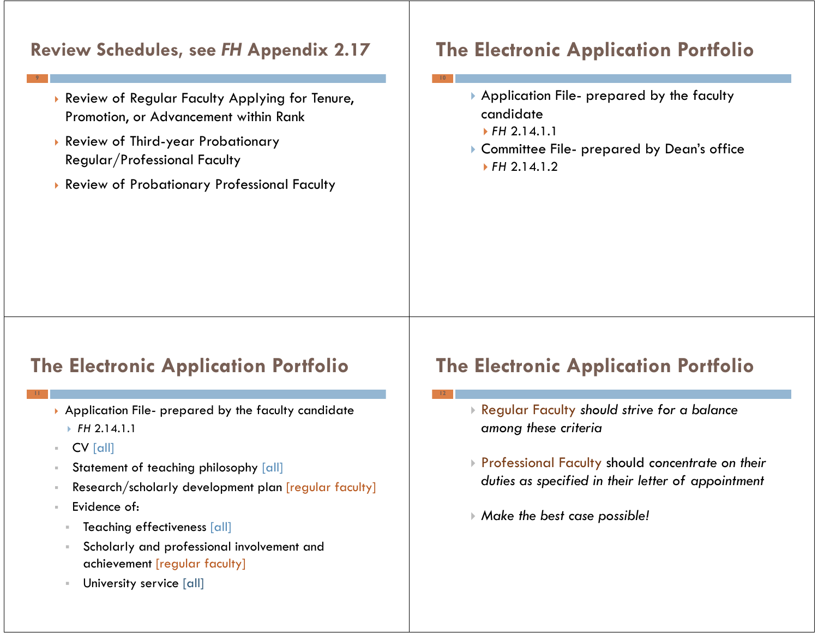### **Review Schedules, see** *FH* **Appendix 2.17**

- Review of Regular Faculty Applying for Tenure, Promotion, or Advancement within Rank
- Review of Third-year Probationary Regular/Professional Faculty
- Review of Probationary Professional Faculty

# **The Electronic Application Portfolio**

- Application File- prepared by the faculty candidate
	- *FH* 2.14.1.1
- Committee File- prepared by Dean's office *FH* 2.14.1.2

## **The Electronic Application Portfolio**

- $\blacktriangleright$  Application File- prepared by the faculty candidate
	- *FH* 2.14.1.1
- $\mathcal{C}$ CV [all]
- Statement of teaching philosophy [all]
- Research/scholarly development plan [regular faculty]
- Evidence of:
- $\bar{a}$ Teaching effectiveness [all]
- Scholarly and professional involvement and achievement [regular faculty]
- University service [all]

# **The Electronic Application Portfolio**

- Regular Faculty *should strive for a balance among these criteria*
- Professional Faculty should *concentrate on their duties as specified in their letter of appointment*
- *Make the best case possible!*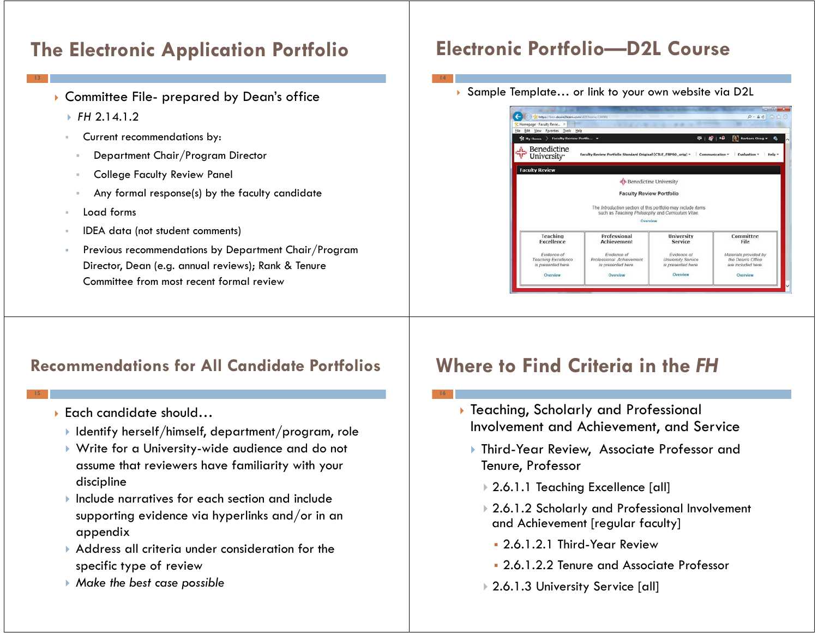# **The Electronic Application Portfolio**

- Committee File- prepared by Dean's office
	- *FH* 2.14.1.2
	- Current recommendations by:
		- Department Chair/Program Director
	- College Faculty Review Panel
	- Any formal response(s) by the faculty candidate
	- Load forms
	- IDEA data (not student comments)
	- Previous recommendations by Department Chair/Program Director, Dean (e.g. annual reviews); Rank & Tenure Committee from most recent formal review

#### **Recommendations for All Candidate Portfolios**

- Each candidate should…
	- $\blacktriangleright$  Identify herself/himself, department/program, role
	- Write for a University-wide audience and do not assume that reviewers have familiarity with your discipline
	- $\blacktriangleright$  Include narratives for each section and include supporting evidence via hyperlinks and/or in an appendix
	- Address all criteria under consideration for the specific type of review
	- *Make the best case possible*

# **Electronic Portfolio—D2L Course**

Sample Template… or link to your own website via D2L



# **Where to Find Criteria in the** *FH*

- Teaching, Scholarly and Professional Involvement and Achievement, and Service
	- Third-Year Review, Associate Professor and Tenure, Professor
		- 2.6.1.1 Teaching Excellence [all]
		- 2.6.1.2 Scholarly and Professional Involvement and Achievement [regular faculty]
			- 2.6.1.2.1 Third-Year Review
			- 2.6.1.2.2 Tenure and Associate Professor
		- 2.6.1.3 University Service [all]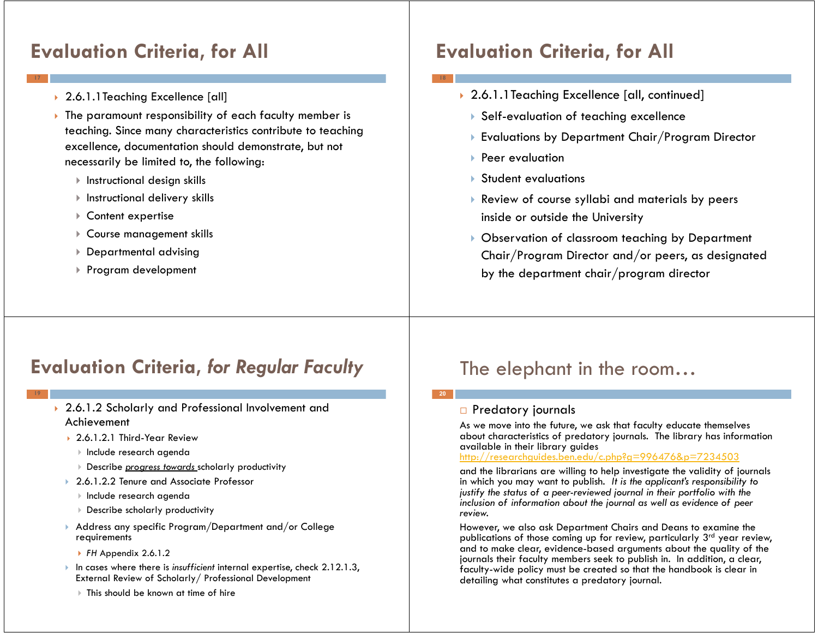## **Evaluation Criteria, for All**

- 2.6.1.1Teaching Excellence [all]
- $\blacktriangleright$  The paramount responsibility of each faculty member is teaching. Since many characteristics contribute to teaching excellence, documentation should demonstrate, but not necessarily be limited to, the following:
	- $\blacktriangleright$  Instructional design skills
	- $\blacktriangleright$  Instructional delivery skills
	- Content expertise
	- Course management skills
	- Departmental advising
	- Program development

## **Evaluation Criteria, for All**

- 2.6.1.1Teaching Excellence [all, continued]
- Self-evaluation of teaching excellence
- Evaluations by Department Chair/Program Director
- $\blacktriangleright$  Peer evaluation
- Student evaluations
- Review of course syllabi and materials by peers inside or outside the University
- Observation of classroom teaching by Department Chair/Program Director and/or peers, as designated by the department chair/program director

### **Evaluation Criteria,** *for Regular Faculty*

- 2.6.1.2 Scholarly and Professional Involvement and Achievement
	- 2.6.1.2.1 Third-Year Review
	- $\blacktriangleright$  Include research agenda
	- Describe *progress towards* scholarly productivity
	- Þ 2.6.1.2.2 Tenure and Associate Professor
		- $\blacktriangleright$  Include research agenda
		- Describe scholarly productivity
	- $\blacktriangleright$  Address any specific Program/Department and/or College. requirements
		- *FH* Appendix 2.6.1.2
	- In cases where there is *insufficient* internal expertise, check 2.12.1.3, External Review of Scholarly/ Professional Development
		- This should be known at time of hire

### The elephant in the room…

#### □ Predatory journals

**20**

As we move into the future, we ask that faculty educate themselves about characteristics of predatory journals. The library has information available in their library guides

#### http://researchguides.ben.edu/c.php?g=996476&p=7234503

and the librarians are willing to help investigate the validity of journals in which you may want to publish. *It is the applicant's responsibility to justify the status of a peer-reviewed journal in their portfolio with the inclusion of information about the journal as well as evidence of peer review.*

However, we also ask Department Chairs and Deans to examine the publications of those coming up for review, particularly  $3<sup>rd</sup>$  year review, and to make clear, evidence-based arguments about the quality of the journals their faculty members seek to publish in. In addition, a clear, faculty-wide policy must be created so that the handbook is clear in detailing what constitutes a predatory journal.